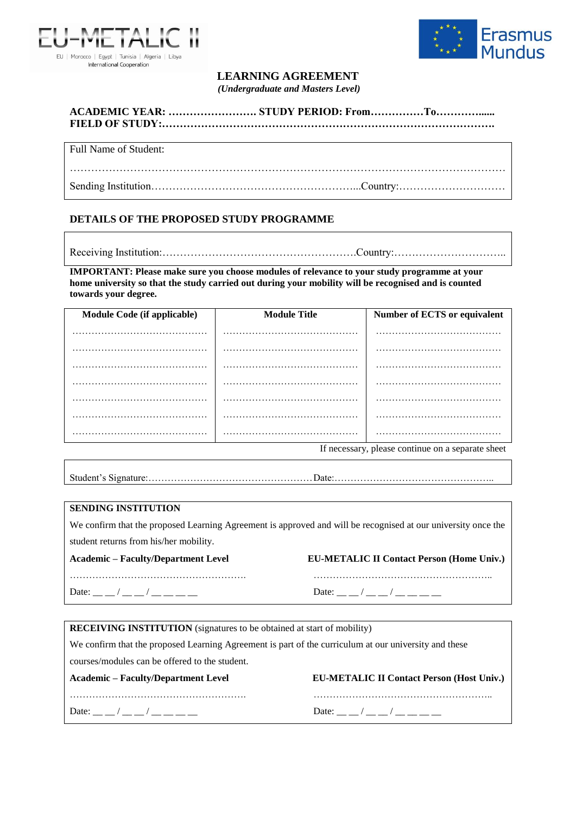



## **LEARNING AGREEMENT**

*(Undergraduate and Masters Level)*

| Full Name of Student: |  |  |
|-----------------------|--|--|
|                       |  |  |

Sending Institution…………………………………………………...Country:…………………………

## **DETAILS OF THE PROPOSED STUDY PROGRAMME**

Receiving Institution:……………………………………………….Country:…………………………..

**IMPORTANT: Please make sure you choose modules of relevance to your study programme at your home university so that the study carried out during your mobility will be recognised and is counted towards your degree.**

| Module Code (if applicable) | <b>Module Title</b> | Number of ECTS or equivalent |  |  |  |
|-----------------------------|---------------------|------------------------------|--|--|--|
|                             |                     |                              |  |  |  |
|                             |                     |                              |  |  |  |
|                             |                     |                              |  |  |  |
|                             |                     |                              |  |  |  |
|                             |                     |                              |  |  |  |
|                             |                     |                              |  |  |  |
|                             |                     |                              |  |  |  |

If necessary, please continue on a separate sheet

## **SENDING INSTITUTION**

Date: \_\_ \_ / \_\_ \_ / \_\_ \_\_ \_ \_

We confirm that the proposed Learning Agreement is approved and will be recognised at our university once the student returns from his/her mobility.

**Academic – Faculty/Department Level EU-METALIC II Contact Person (Home Univ.)**

………………………………………………. ………………………………………………..

| Date: |  |  |  |  |  |  |
|-------|--|--|--|--|--|--|
|       |  |  |  |  |  |  |

**RECEIVING INSTITUTION** (signatures to be obtained at start of mobility)

We confirm that the proposed Learning Agreement is part of the curriculum at our university and these

courses/modules can be offered to the student.

| Academic – Faculty/Department Level |
|-------------------------------------|
|                                     |

| Date: $\sqrt{2}$<br>Date: $\sqrt{2}$ | <b>Academic – Faculty/Department Level</b> | <b>EU-METALIC II Contact Person (Host Univ.)</b> |
|--------------------------------------|--------------------------------------------|--------------------------------------------------|
|                                      |                                            |                                                  |